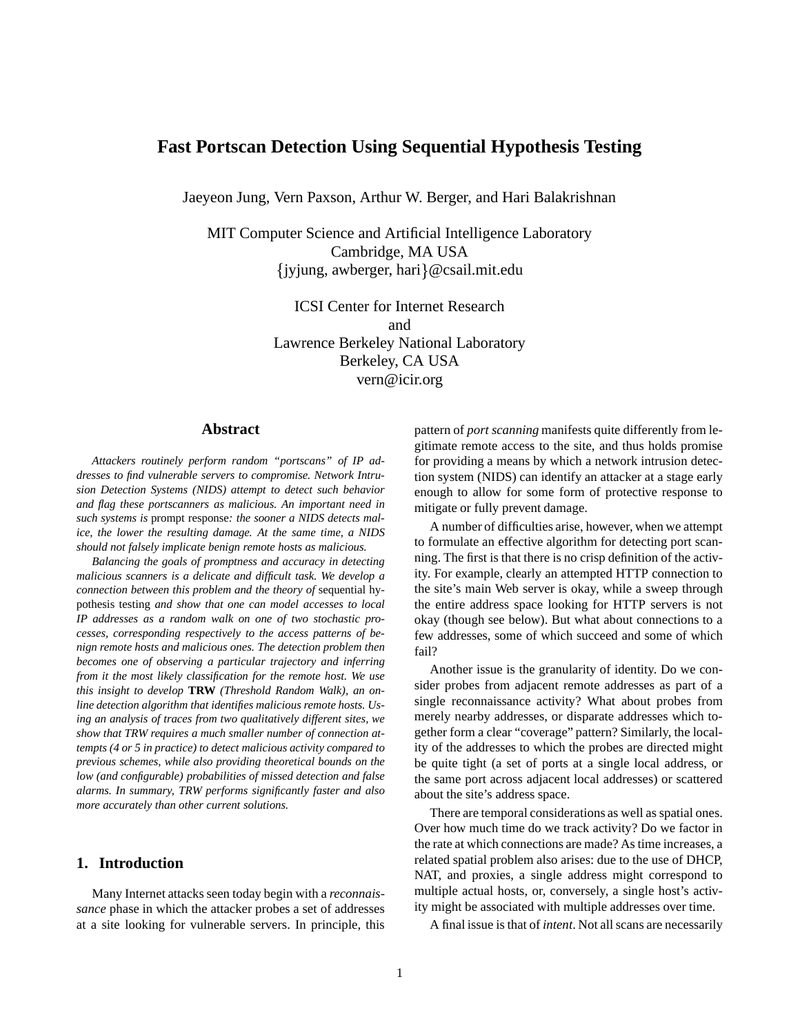# **Fast Portscan Detection Using Sequential Hypothesis Testing**

Jaeyeon Jung, Vern Paxson, Arthur W. Berger, and Hari Balakrishnan

MIT Computer Science and Artificial Intelligence Laboratory Cambridge, MA USA jyjung, awberger, hari @csail.mit.edu

> ICSI Center for Internet Research and Lawrence Berkeley National Laboratory Berkeley, CA USA vern@icir.org

#### **Abstract**

*Attackers routinely perform random "portscans" of IP addresses to find vulnerable servers to compromise. Network Intrusion Detection Systems (NIDS) attempt to detect such behavior and flag these portscanners as malicious. An important need in such systems is* prompt response*: the sooner a NIDS detects malice, the lower the resulting damage. At the same time, a NIDS should not falsely implicate benign remote hosts as malicious.*

*Balancing the goals of promptness and accuracy in detecting malicious scanners is a delicate and difficult task. We develop a connection between this problem and the theory of* sequential hypothesis testing *and show that one can model accesses to local IP addresses as a random walk on one of two stochastic processes, corresponding respectively to the access patterns of benign remote hosts and malicious ones. The detection problem then becomes one of observing a particular trajectory and inferring from it the most likely classification for the remote host. We use this insight to develop* **TRW** *(Threshold Random Walk), an online detection algorithm that identifies malicious remote hosts. Using an analysis of traces from two qualitatively different sites, we show that TRW requires a much smaller number of connection attempts (4 or 5 in practice) to detect malicious activity compared to previous schemes, while also providing theoretical bounds on the low (and configurable) probabilities of missed detection and false alarms. In summary, TRW performs significantly faster and also more accurately than other current solutions.*

## **1. Introduction**

Many Internet attacks seen today begin with a *reconnaissance* phase in which the attacker probes a set of addresses at a site looking for vulnerable servers. In principle, this pattern of *port scanning* manifests quite differently from legitimate remote access to the site, and thus holds promise for providing a means by which a network intrusion detection system (NIDS) can identify an attacker at a stage early enough to allow for some form of protective response to mitigate or fully prevent damage.

A number of difficulties arise, however, when we attempt to formulate an effective algorithm for detecting port scanning. The first is that there is no crisp definition of the activity. For example, clearly an attempted HTTP connection to the site's main Web server is okay, while a sweep through the entire address space looking for HTTP servers is not okay (though see below). But what about connections to a few addresses, some of which succeed and some of which fail?

Another issue is the granularity of identity. Do we consider probes from adjacent remote addresses as part of a single reconnaissance activity? What about probes from merely nearby addresses, or disparate addresses which together form a clear "coverage" pattern? Similarly, the locality of the addresses to which the probes are directed might be quite tight (a set of ports at a single local address, or the same port across adjacent local addresses) or scattered about the site's address space.

There are temporal considerations as well as spatial ones. Over how much time do we track activity? Do we factor in the rate at which connections are made? As time increases, a related spatial problem also arises: due to the use of DHCP, NAT, and proxies, a single address might correspond to multiple actual hosts, or, conversely, a single host's activity might be associated with multiple addresses over time.

A final issue is that of *intent*. Not all scans are necessarily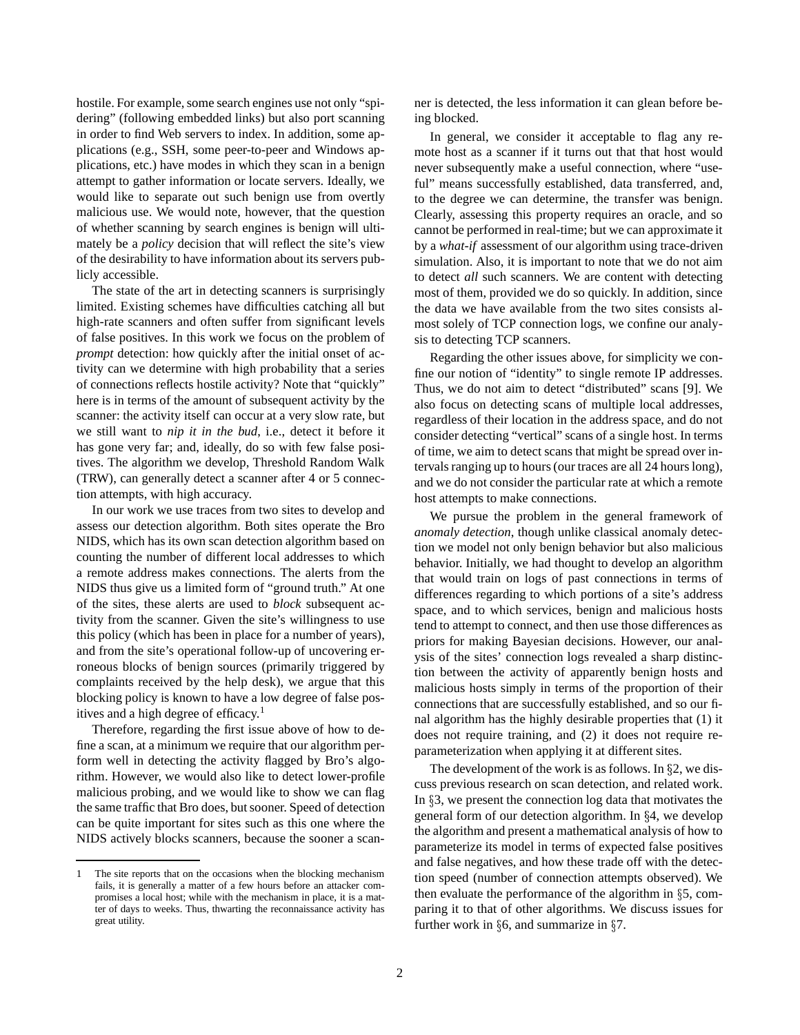hostile. For example, some search engines use not only "spidering" (following embedded links) but also port scanning in order to find Web servers to index. In addition, some applications (e.g., SSH, some peer-to-peer and Windows applications, etc.) have modes in which they scan in a benign attempt to gather information or locate servers. Ideally, we would like to separate out such benign use from overtly malicious use. We would note, however, that the question of whether scanning by search engines is benign will ultimately be a *policy* decision that will reflect the site's view of the desirability to have information about its servers publicly accessible.

The state of the art in detecting scanners is surprisingly limited. Existing schemes have difficulties catching all but high-rate scanners and often suffer from significant levels of false positives. In this work we focus on the problem of *prompt* detection: how quickly after the initial onset of activity can we determine with high probability that a series of connections reflects hostile activity? Note that "quickly" here is in terms of the amount of subsequent activity by the scanner: the activity itself can occur at a very slow rate, but we still want to *nip it in the bud*, i.e., detect it before it has gone very far; and, ideally, do so with few false positives. The algorithm we develop, Threshold Random Walk (TRW), can generally detect a scanner after 4 or 5 connection attempts, with high accuracy.

In our work we use traces from two sites to develop and assess our detection algorithm. Both sites operate the Bro NIDS, which has its own scan detection algorithm based on counting the number of different local addresses to which a remote address makes connections. The alerts from the NIDS thus give us a limited form of "ground truth." At one of the sites, these alerts are used to *block* subsequent activity from the scanner. Given the site's willingness to use this policy (which has been in place for a number of years), and from the site's operational follow-up of uncovering erroneous blocks of benign sources (primarily triggered by complaints received by the help desk), we argue that this blocking policy is known to have a low degree of false positives and a high degree of efficacy. 1

Therefore, regarding the first issue above of how to define a scan, at a minimum we require that our algorithm perform well in detecting the activity flagged by Bro's algorithm. However, we would also like to detect lower-profile malicious probing, and we would like to show we can flag the same traffic that Bro does, but sooner. Speed of detection can be quite important for sites such as this one where the NIDS actively blocks scanners, because the sooner a scan-

ner is detected, the less information it can glean before being blocked.

In general, we consider it acceptable to flag any remote host as a scanner if it turns out that that host would never subsequently make a useful connection, where "useful" means successfully established, data transferred, and, to the degree we can determine, the transfer was benign. Clearly, assessing this property requires an oracle, and so cannot be performed in real-time; but we can approximate it by a *what-if* assessment of our algorithm using trace-driven simulation. Also, it is important to note that we do not aim to detect *all* such scanners. We are content with detecting most of them, provided we do so quickly. In addition, since the data we have available from the two sites consists almost solely of TCP connection logs, we confine our analysis to detecting TCP scanners.

Regarding the other issues above, for simplicity we confine our notion of "identity" to single remote IP addresses. Thus, we do not aim to detect "distributed" scans [9]. We also focus on detecting scans of multiple local addresses, regardless of their location in the address space, and do not consider detecting "vertical" scans of a single host. In terms of time, we aim to detect scans that might be spread over intervals ranging up to hours(our traces are all 24 hourslong), and we do not consider the particular rate at which a remote host attempts to make connections.

We pursue the problem in the general framework of *anomaly detection*, though unlike classical anomaly detection we model not only benign behavior but also malicious behavior. Initially, we had thought to develop an algorithm that would train on logs of past connections in terms of differences regarding to which portions of a site's address space, and to which services, benign and malicious hosts tend to attempt to connect, and then use those differences as priors for making Bayesian decisions. However, our analysis of the sites' connection logs revealed a sharp distinction between the activity of apparently benign hosts and malicious hosts simply in terms of the proportion of their connections that are successfully established, and so our final algorithm has the highly desirable properties that (1) it does not require training, and (2) it does not require reparameterization when applying it at different sites.

The development of the work is as follows. In  $\S$ 2, we discuss previous research on scan detection, and related work. In  $\S$ 3, we present the connection log data that motivates the general form of our detection algorithm. In  $\S 4$ , we develop the algorithm and present a mathematical analysis of how to parameterize its model in terms of expected false positives and false negatives, and how these trade off with the detection speed (number of connection attempts observed). We then evaluate the performance of the algorithm in  $\S$ 5, comparing it to that of other algorithms. We discuss issues for further work in  $\S6$ , and summarize in  $\S7$ .

<sup>1</sup> The site reports that on the occasions when the blocking mechanism fails, it is generally a matter of a few hours before an attacker compromises a local host; while with the mechanism in place, it is a matter of days to weeks. Thus, thwarting the reconnaissance activity has great utility.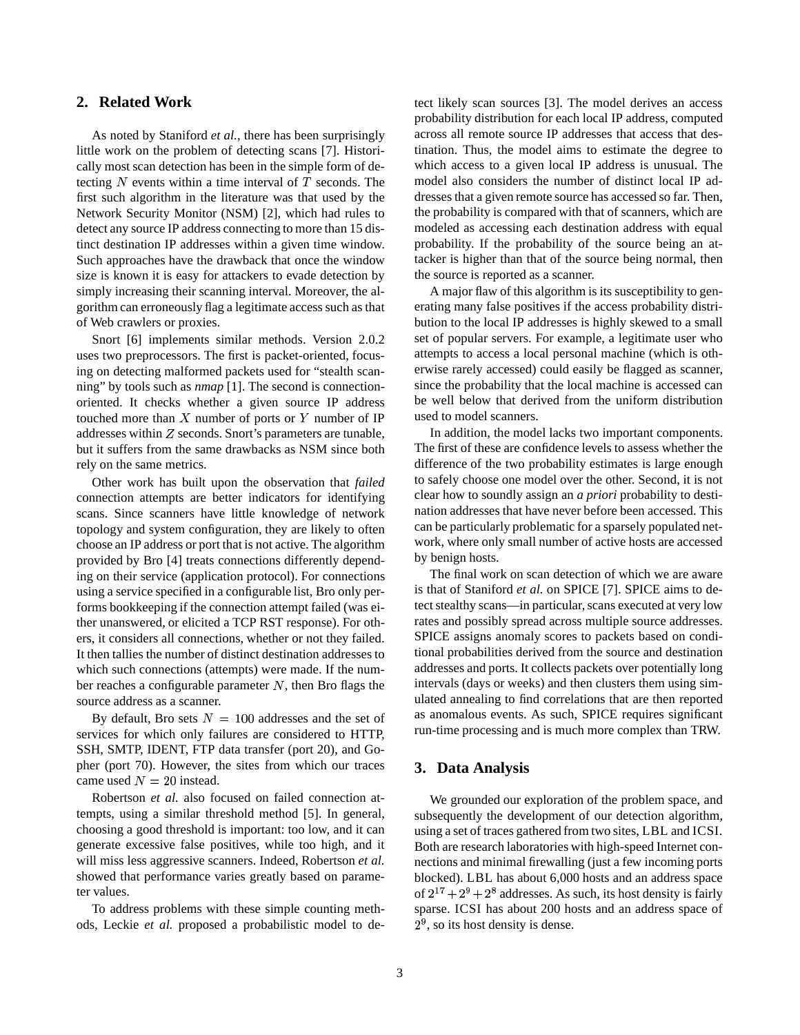### **2. Related Work**

As noted by Staniford *et al.*, there has been surprisingly little work on the problem of detecting scans [7]. Historically most scan detection has been in the simple form of detecting  $N$  events within a time interval of  $T$  seconds. The first such algorithm in the literature was that used by the Network Security Monitor (NSM) [2], which had rules to detect any source IP address connecting to more than 15 distinct destination IP addresses within a given time window. Such approaches have the drawback that once the window size is known it is easy for attackers to evade detection by simply increasing their scanning interval. Moreover, the algorithm can erroneously flag a legitimate access such as that of Web crawlers or proxies.

Snort [6] implements similar methods. Version 2.0.2 uses two preprocessors. The first is packet-oriented, focusing on detecting malformed packets used for "stealth scanning" by tools such as *nmap* [1]. The second is connectionoriented. It checks whether a given source IP address touched more than  $X$  number of ports or  $Y$  number of IP addresses within  $Z$  seconds. Snort's parameters are tunable, but it suffers from the same drawbacks as NSM since both rely on the same metrics.

Other work has built upon the observation that *failed* connection attempts are better indicators for identifying scans. Since scanners have little knowledge of network topology and system configuration, they are likely to often choose an IP address or port that is not active. The algorithm provided by Bro [4] treats connections differently depending on their service (application protocol). For connections using a service specified in a configurable list, Bro only performs bookkeeping if the connection attempt failed (was either unanswered, or elicited a TCP RST response). For others, it considers all connections, whether or not they failed. It then tallies the number of distinct destination addresses to which such connections (attempts) were made. If the number reaches a configurable parameter  $N$ , then Bro flags the source address as a scanner.

By default, Bro sets  $N = 100$  addresses and the set of services for which only failures are considered to HTTP, SSH, SMTP, IDENT, FTP data transfer (port 20), and Gopher (port 70). However, the sites from which our traces came used  $N = 20$  instead.

Robertson *et al.* also focused on failed connection attempts, using a similar threshold method [5]. In general, choosing a good threshold is important: too low, and it can generate excessive false positives, while too high, and it will miss less aggressive scanners. Indeed, Robertson *et al.* showed that performance varies greatly based on parameter values.

To address problems with these simple counting methods, Leckie *et al.* proposed a probabilistic model to detect likely scan sources [3]. The model derives an access probability distribution for each local IP address, computed across all remote source IP addresses that access that destination. Thus, the model aims to estimate the degree to which access to a given local IP address is unusual. The model also considers the number of distinct local IP addresses that a given remote source has accessed so far. Then, the probability is compared with that of scanners, which are modeled as accessing each destination address with equal probability. If the probability of the source being an attacker is higher than that of the source being normal, then the source is reported as a scanner.

A major flaw of this algorithm is its susceptibility to generating many false positives if the access probability distribution to the local IP addresses is highly skewed to a small set of popular servers. For example, a legitimate user who attempts to access a local personal machine (which is otherwise rarely accessed) could easily be flagged as scanner, since the probability that the local machine is accessed can be well below that derived from the uniform distribution used to model scanners.

In addition, the model lacks two important components. The first of these are confidence levels to assess whether the difference of the two probability estimates is large enough to safely choose one model over the other. Second, it is not clear how to soundly assign an *a priori* probability to destination addresses that have never before been accessed. This can be particularly problematic for a sparsely populated network, where only small number of active hosts are accessed by benign hosts.

The final work on scan detection of which we are aware is that of Staniford *et al.* on SPICE [7]. SPICE aims to detect stealthy scans—in particular, scans executed at very low rates and possibly spread across multiple source addresses. SPICE assigns anomaly scores to packets based on conditional probabilities derived from the source and destination addresses and ports. It collects packets over potentially long intervals (days or weeks) and then clusters them using simulated annealing to find correlations that are then reported as anomalous events. As such, SPICE requires significant run-time processing and is much more complex than TRW.

### **3. Data Analysis**

We grounded our exploration of the problem space, and subsequently the development of our detection algorithm, using a set of traces gathered from two sites, LBL and ICSI. Both are research laboratories with high-speed Internet connections and minimal firewalling (just a few incoming ports blocked). LBL has about 6,000 hosts and an address space of  $2^{17} + 2^9 + 2^8$  addresses. As such, its host density is fairly sparse. ICSI has about 200 hosts and an address space of  $2<sup>9</sup>$ , so its host density is dense.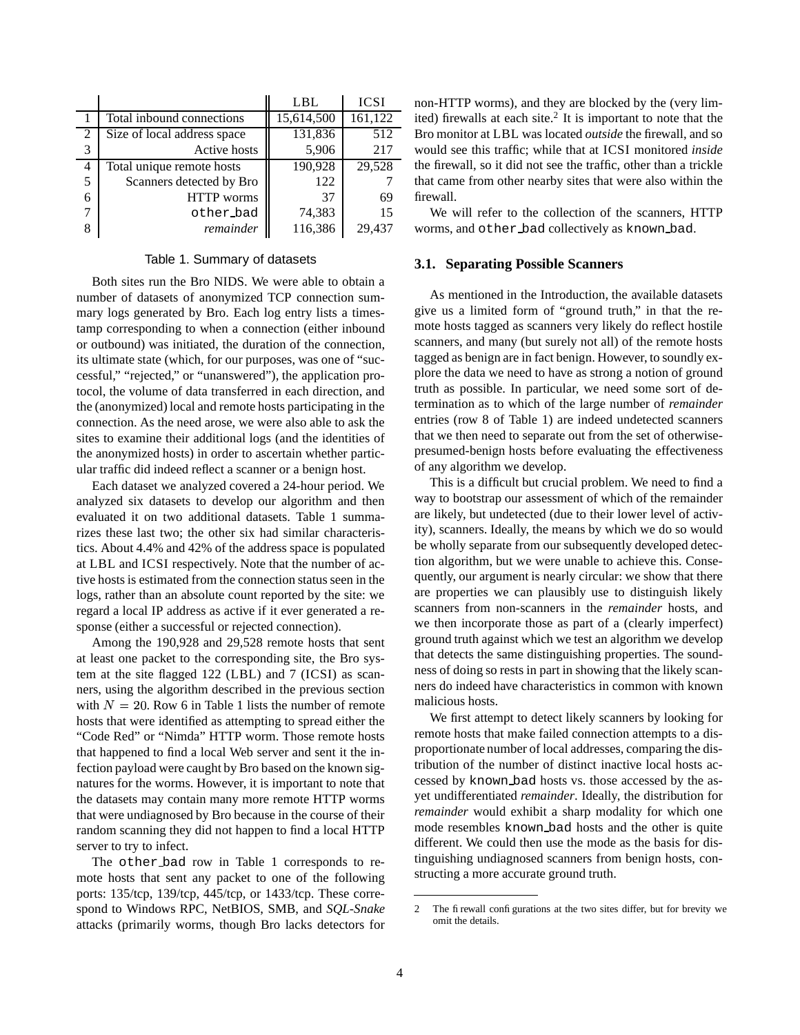|   |                             | LBL        | <b>ICSI</b> |
|---|-----------------------------|------------|-------------|
|   | Total inbound connections   | 15,614,500 | 161,122     |
| 2 | Size of local address space | 131,836    | 512         |
| 3 | <b>Active hosts</b>         | 5,906      | 217         |
| 4 | Total unique remote hosts   | 190,928    | 29,528      |
| 5 | Scanners detected by Bro    | 122        |             |
| 6 | HTTP worms                  | 37         | 69          |
|   | other bad                   | 74,383     | 15          |
|   | remainder                   | 116,386    | 29.437      |

#### Table 1. Summary of datasets

Both sites run the Bro NIDS. We were able to obtain a number of datasets of anonymized TCP connection summary logs generated by Bro. Each log entry lists a timestamp corresponding to when a connection (either inbound or outbound) was initiated, the duration of the connection, its ultimate state (which, for our purposes, was one of "successful," "rejected," or "unanswered"), the application protocol, the volume of data transferred in each direction, and the (anonymized) local and remote hosts participating in the connection. As the need arose, we were also able to ask the sites to examine their additional logs (and the identities of the anonymized hosts) in order to ascertain whether particular traffic did indeed reflect a scanner or a benign host.

Each dataset we analyzed covered a 24-hour period. We analyzed six datasets to develop our algorithm and then evaluated it on two additional datasets. Table 1 summarizes these last two; the other six had similar characteristics. About 4.4% and 42% of the address space is populated at LBL and ICSI respectively. Note that the number of active hosts is estimated from the connection status seen in the logs, rather than an absolute count reported by the site: we regard a local IP address as active if it ever generated a response (either a successful or rejected connection).

Among the 190,928 and 29,528 remote hosts that sent at least one packet to the corresponding site, the Bro system at the site flagged 122 (LBL) and 7 (ICSI) as scanners, using the algorithm described in the previous section with  $N = 20$ . Row 6 in Table 1 lists the number of remote hosts that were identified as attempting to spread either the "Code Red" or "Nimda" HTTP worm. Those remote hosts that happened to find a local Web server and sent it the infection payload were caught by Bro based on the known signatures for the worms. However, it is important to note that the datasets may contain many more remote HTTP worms that were undiagnosed by Bro because in the course of their random scanning they did not happen to find a local HTTP server to try to infect.

The other bad row in Table 1 corresponds to remote hosts that sent any packet to one of the following ports: 135/tcp, 139/tcp, 445/tcp, or 1433/tcp. These correspond to Windows RPC, NetBIOS, SMB, and *SQL-Snake* attacks (primarily worms, though Bro lacks detectors for non-HTTP worms), and they are blocked by the (very limited) firewalls at each site. $<sup>2</sup>$  It is important to note that the</sup> Bro monitor at LBL was located *outside* the firewall, and so would see this traffic; while that at ICSI monitored *inside* the firewall, so it did not see the traffic, other than a trickle that came from other nearby sites that were also within the firewall.

We will refer to the collection of the scanners, HTTP worms, and other bad collectively as known bad.

#### **3.1. Separating Possible Scanners**

As mentioned in the Introduction, the available datasets give us a limited form of "ground truth," in that the remote hosts tagged as scanners very likely do reflect hostile scanners, and many (but surely not all) of the remote hosts tagged as benign are in fact benign. However, to soundly explore the data we need to have as strong a notion of ground truth as possible. In particular, we need some sort of determination as to which of the large number of *remainder* entries (row 8 of Table 1) are indeed undetected scanners that we then need to separate out from the set of otherwisepresumed-benign hosts before evaluating the effectiveness of any algorithm we develop.

This is a difficult but crucial problem. We need to find a way to bootstrap our assessment of which of the remainder are likely, but undetected (due to their lower level of activity), scanners. Ideally, the means by which we do so would be wholly separate from our subsequently developed detection algorithm, but we were unable to achieve this. Consequently, our argument is nearly circular: we show that there are properties we can plausibly use to distinguish likely scanners from non-scanners in the *remainder* hosts, and we then incorporate those as part of a (clearly imperfect) ground truth against which we test an algorithm we develop that detects the same distinguishing properties. The soundness of doing so rests in part in showing that the likely scanners do indeed have characteristics in common with known malicious hosts.

We first attempt to detect likely scanners by looking for remote hosts that make failed connection attempts to a disproportionate number of local addresses, comparing the distribution of the number of distinct inactive local hosts accessed by known bad hosts vs. those accessed by the asyet undifferentiated *remainder*. Ideally, the distribution for *remainder* would exhibit a sharp modality for which one mode resembles known bad hosts and the other is quite different. We could then use the mode as the basis for distinguishing undiagnosed scanners from benign hosts, constructing a more accurate ground truth.

<sup>2</sup> The firewall configurations at the two sites differ, but for brevity we omit the details.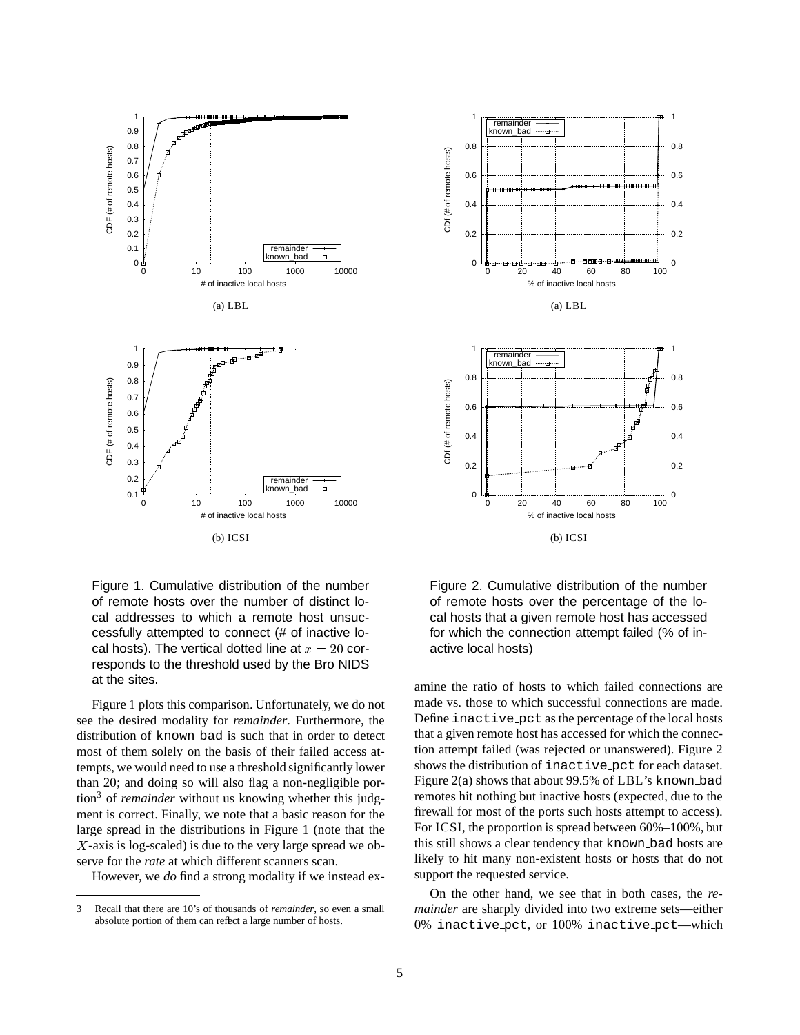



Figure 1. Cumulative distribution of the number of remote hosts over the number of distinct local addresses to which a remote host unsuccessfully attempted to connect (# of inactive local hosts). The vertical dotted line at  $x = 20$  corresponds to the threshold used by the Bro NIDS at the sites.

Figure 1 plots this comparison. Unfortunately, we do not see the desired modality for *remainder*. Furthermore, the distribution of known bad is such that in order to detect most of them solely on the basis of their failed access attempts, we would need to use a threshold significantly lower than 20; and doing so will also flag a non-negligible portion<sup>3</sup> of *remainder* without us knowing whether this judgment is correct. Finally, we note that a basic reason for the large spread in the distributions in Figure 1 (note that the  $X$ -axis is log-scaled) is due to the very large spread we observe for the *rate* at which different scanners scan.

However, we *do* find a strong modality if we instead ex-

Figure 2. Cumulative distribution of the number of remote hosts over the percentage of the local hosts that a given remote host has accessed for which the connection attempt failed (% of inactive local hosts)

amine the ratio of hosts to which failed connections are made vs. those to which successful connections are made. Define inactive pct as the percentage of the local hosts that a given remote host has accessed for which the connection attempt failed (was rejected or unanswered). Figure 2 shows the distribution of inactive pct for each dataset. Figure 2(a) shows that about 99.5% of LBL's known bad remotes hit nothing but inactive hosts (expected, due to the firewall for most of the ports such hosts attempt to access). For ICSI, the proportion is spread between 60%–100%, but this still shows a clear tendency that known bad hosts are likely to hit many non-existent hosts or hosts that do not support the requested service.

On the other hand, we see that in both cases, the *remainder* are sharply divided into two extreme sets—either 0% inactive pct, or 100% inactive pct—which

<sup>3</sup> Recall that there are 10's of thousands of *remainder*, so even a small absolute portion of them can reflect a large number of hosts.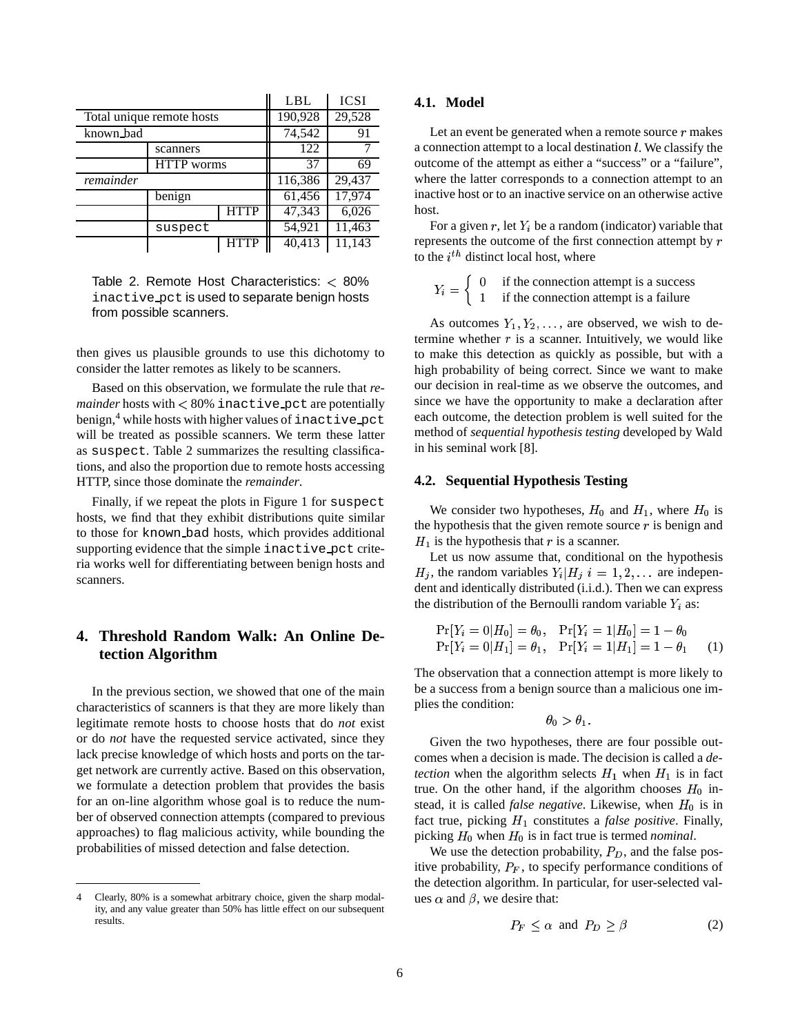|           |                           |             | LBL     | <b>ICSI</b> |
|-----------|---------------------------|-------------|---------|-------------|
|           | Total unique remote hosts | 190,928     | 29,528  |             |
| known_bad |                           | 74,542      | 91      |             |
|           | scanners                  |             | 122     |             |
|           | <b>HTTP</b> worms         | 37          | 69      |             |
| remainder |                           |             | 116,386 | 29,437      |
|           | benign                    |             | 61,456  | 17,974      |
|           |                           | <b>HTTP</b> | 47,343  | 6,026       |
|           | suspect                   |             | 54,921  | 11,463      |
|           |                           | <b>HTTP</b> | 40.413  | 11,143      |

Table 2. Remote Host Characteristics:  $<$  80% inactive pct is used to separate benign hosts from possible scanners.

then gives us plausible grounds to use this dichotomy to consider the latter remotes as likely to be scanners.

Based on this observation, we formulate the rule that *re* $mainder$  hosts with  $< 80\%$  inactive pct are potentially benign, $<sup>4</sup>$  while hosts with higher values of inactive pct</sup> will be treated as possible scanners. We term these latter as suspect. Table 2 summarizes the resulting classifications, and also the proportion due to remote hosts accessing HTTP, since those dominate the *remainder*.

Finally, if we repeat the plots in Figure 1 for suspect hosts, we find that they exhibit distributions quite similar to those for known bad hosts, which provides additional supporting evidence that the simple inactive pct criteria works well for differentiating between benign hosts and scanners.

## **4. Threshold Random Walk: An Online Detection Algorithm**

In the previous section, we showed that one of the main characteristics of scanners is that they are more likely than legitimate remote hosts to choose hosts that do *not* exist or do *not* have the requested service activated, since they lack precise knowledge of which hosts and ports on the target network are currently active. Based on this observation, we formulate a detection problem that provides the basis for an on-line algorithm whose goal is to reduce the number of observed connection attempts (compared to previous approaches) to flag malicious activity, while bounding the probabilities of missed detection and false detection.

#### **4.1. Model**

Let an event be generated when a remote source  $r$  makes a connection attempt to a local destination  $l$ . We classify the outcome of the attempt as either a "success" or a "failure", where the latter corresponds to a connection attempt to an inactive host or to an inactive service on an otherwise active host.

For a given r, let  $Y_i$  be a random (indicator) variable that represents the outcome of the first connection attempt by  $r$ to the  $i^{th}$  distinct local host, where

 $\cdots$   $\cdots$   $\int 0$  if the connection attempt is a success if the connection attempt is a failure

As outcomes  $Y_1, Y_2, \ldots$ , are observed, we wish to determine whether  $r$  is a scanner. Intuitively, we would like to make this detection as quickly as possible, but with a high probability of being correct. Since we want to make our decision in real-time as we observe the outcomes, and since we have the opportunity to make a declaration after each outcome, the detection problem is well suited for the method of *sequential hypothesis testing* developed by Wald in his seminal work [8].

#### **4.2. Sequential Hypothesis Testing**

We consider two hypotheses,  $H_0$  and  $H_1$ , where  $H_0$  is the hypothesis that the given remote source  $r$  is benign and  $H_1$  is the hypothesis that r is a scanner.

 Let us now assume that, conditional on the hypothesis  $H_j$ , the random variables  $Y_i|H_j$   $i = 1, 2, \dots$  are independent and identically distributed (i.i.d.). Then we can express the distribution of the Bernoulli random variable  $Y_i$  as:

$$
\Pr[Y_i = 0 | H_0] = \theta_0, \quad \Pr[Y_i = 1 | H_0] = 1 - \theta_0 \Pr[Y_i = 0 | H_1] = \theta_1, \quad \Pr[Y_i = 1 | H_1] = 1 - \theta_1
$$
\n(1)

The observation that a connection attempt is more likely to be a success from a benign source than a malicious one implies the condition:

$$
\theta_0 > \theta_1.
$$

Given the two hypotheses, there are four possible outcomes when a decision is made. The decision is called a *detection* when the algorithm selects  $H_1$  when  $H_1$  is in fact true. On the other hand, if the algorithm chooses  $H_0$  instead, it is called *false negative*. Likewise, when  $H_0$  is in fact true, picking  $H_1$  constitutes a *false positive*. Finally, picking  $H_0$  when  $H_0$  is in fact true is termed *nominal*.

We use the detection probability,  $P_D$ , and the false positive probability,  $P_F$ , to specify performance conditions of the detection algorithm. In particular, for user-selected values  $\alpha$  and  $\beta$ , we desire that:

$$
P_F \le \alpha \quad \text{and} \quad P_D \ge \beta \tag{2}
$$

<sup>4</sup> Clearly, 80% is a somewhat arbitrary choice, given the sharp modality, and any value greater than 50% has little effect on our subsequent results.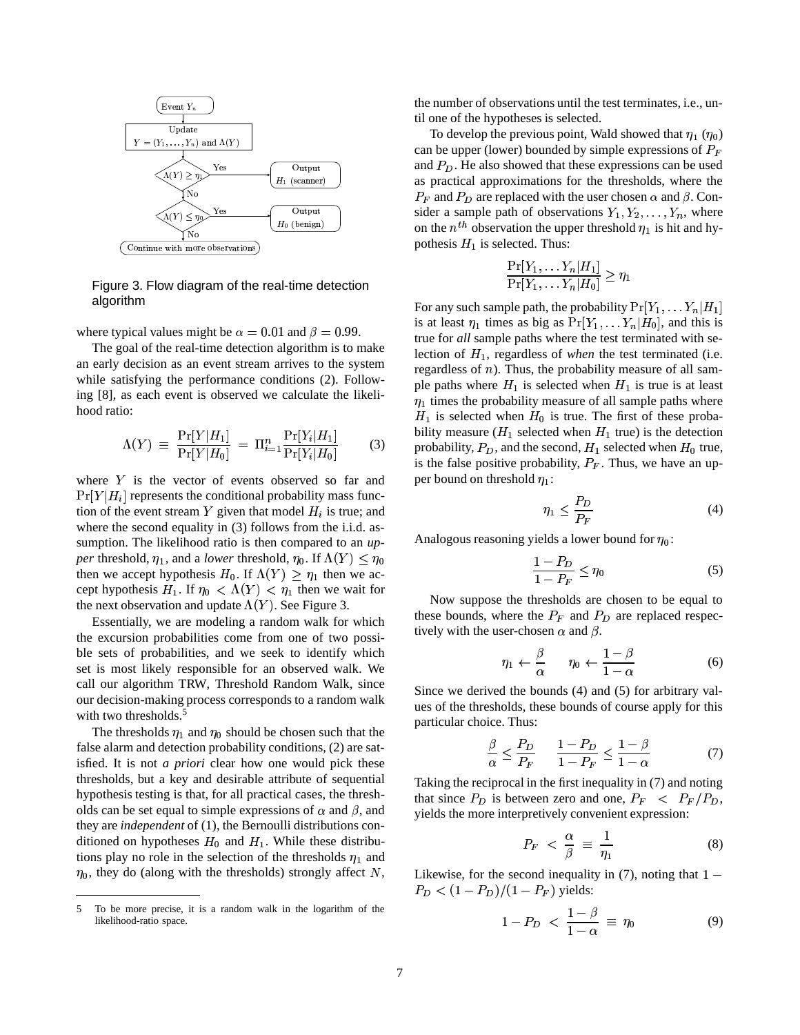

Figure 3. Flow diagram of the real-time detection algorithm

where typical values might be  $\alpha = 0.01$  and  $\beta = 0.99$ .

The goal of the real-time detection algorithm is to make an early decision as an event stream arrives to the system while satisfying the performance conditions (2). Following [8], as each event is observed we calculate the likelihood ratio:

$$
\Lambda(Y) \equiv \frac{\Pr[Y|H_1]}{\Pr[Y|H_0]} = \Pi_{i=1}^n \frac{\Pr[Y_i|H_1]}{\Pr[Y_i|H_0]} \tag{3}
$$

where  $Y$  is the vector of events observed so far and  $Pr[Y|H_i]$  represents the conditional probability mass function of the event stream  $Y$  given that model  $H_i$  is true; and where the second equality in (3) follows from the i.i.d. assumption. The likelihood ratio is then compared to an *upper* threshold,  $\eta_1$ , and a *lower* threshold,  $\eta_0$ . If  $\Lambda(Y) \leq \eta_0$ then we accept hypothesis  $H_0$ . If  $\Lambda(Y) \ge \eta_1$  then we accept hypothesis  $H_1$ . If  $\eta_0 < \Lambda(Y) < \eta_1$  then we wait for the next observation and update  $\Lambda(Y)$ . See Figure 3.

Essentially, we are modeling a random walk for which the excursion probabilities come from one of two possible sets of probabilities, and we seek to identify which set is most likely responsible for an observed walk. We call our algorithm TRW, Threshold Random Walk, since our decision-making process corresponds to a random walk with two thresholds.<sup>5</sup>

The thresholds  $\eta_1$  and  $\eta_0$  should be chosen such that the false alarm and detection probability conditions, (2) are satisfied. It is not *a priori* clear how one would pick these thresholds, but a key and desirable attribute of sequential hypothesis testing is that, for all practical cases, the thresholds can be set equal to simple expressions of  $\alpha$  and  $\beta$ , and they are *independent* of (1), the Bernoulli distributions conditioned on hypotheses  $H_0$  and  $H_1$ . While these distributions play no role in the selection of the thresholds  $\eta_1$  and  $\eta_0$ , they do (along with the thresholds) strongly affect N,

the number of observations until the test terminates, i.e., until one of the hypotheses is selected.

To develop the previous point, Wald showed that  $\eta_1$  ( $\eta_0$ ) can be upper (lower) bounded by simple expressions of  $P_F$ and  $P_D$ . He also showed that these expressions can be used as practical approximations for the thresholds, where the  $P_F$  and  $P_D$  are replaced with the user chosen  $\alpha$  and  $\beta$ . Consider a sample path of observations  $Y_1, Y_2, \ldots, Y_n$ , where on the  $n^{th}$  observation the upper threshold  $\eta_1$  is hit and hypothesis  $H_1$  is selected. Thus:

$$
\frac{\Pr[Y_1, \ldots, Y_n | H_1]}{\Pr[Y_1, \ldots, Y_n | H_0]} \ge \eta_1
$$

For any such sample path, the probability  $Pr[Y_1, \ldots, Y_n|H_1]$ is at least  $\eta_1$  times as big as  $Pr[Y_1, \ldots Y_n | H_0]$ , and this is true for *all* sample paths where the test terminated with selection of  $H_1$ , regardless of *when* the test terminated (i.e. regardless of  $n$ ). Thus, the probability measure of all sample paths where  $H_1$  is selected when  $H_1$  is true is at least  $\eta_1$  times the probability measure of all sample paths where  $H_1$  is selected when  $H_0$  is true. The first of these probability measure ( $H_1$  selected when  $H_1$  true) is the detection probability,  $P_D$ , and the second,  $H_1$  selected when  $H_0$  true, is the false positive probability,  $P_F$ . Thus, we have an upper bound on threshold  $\eta_1$ :

$$
\eta_1 \le \frac{P_D}{P_F} \tag{4}
$$

Analogous reasoning yields a lower bound for  $\eta_0$ :

$$
\frac{1 - P_D}{1 - P_F} \le \eta_0 \tag{5}
$$

Now suppose the thresholds are chosen to be equal to these bounds, where the  $P_F$  and  $P_D$  are replaced respectively with the user-chosen  $\alpha$  and  $\beta$ .

$$
\eta_1 \leftarrow \frac{\beta}{\alpha} \qquad \eta_0 \leftarrow \frac{1-\beta}{1-\alpha} \tag{6}
$$

Since we derived the bounds (4) and (5) for arbitrary values of the thresholds, these bounds of course apply for this particular choice. Thus:

$$
\frac{\beta}{\alpha} \le \frac{P_D}{P_F} \quad \frac{1 - P_D}{1 - P_F} \le \frac{1 - \beta}{1 - \alpha} \tag{7}
$$

Taking the reciprocal in the first inequality in (7) and noting that since  $P_D$  is between zero and one,  $P_F < P_F/P_D$ , yields the more interpretively convenient expression:

$$
P_F \, < \, \frac{\alpha}{\beta} \, \equiv \, \frac{1}{\eta_1} \tag{8}
$$

Likewise, for the second inequality in  $(7)$ , noting that  $1 P_D < (1 - P_D)/(1 - P_F)$  yields:

$$
1 - P_D < \frac{1 - \beta}{1 - \alpha} \equiv \eta_0 \tag{9}
$$

<sup>5</sup> To be more precise, it is a random walk in the logarithm of the likelihood-ratio space.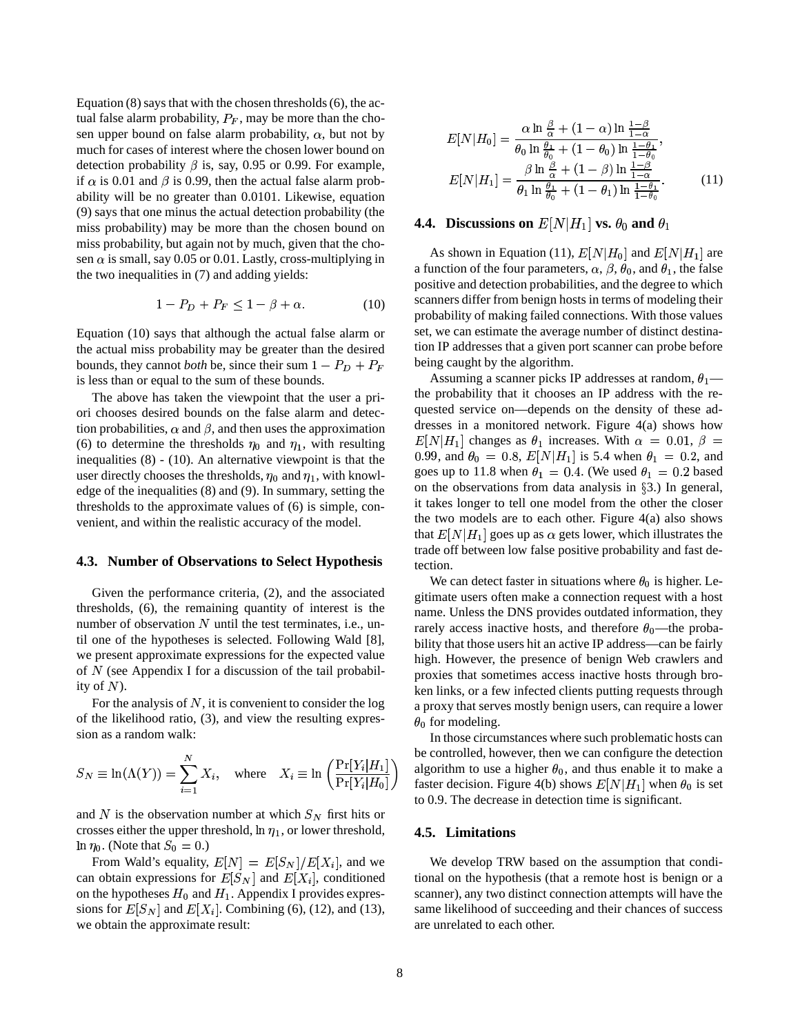Equation  $(8)$  says that with the chosen thresholds  $(6)$ , the actual false alarm probability,  $P_F$ , may be more than the chosen upper bound on false alarm probability,  $\alpha$ , but not by much for cases of interest where the chosen lower bound on detection probability  $\beta$  is, say, 0.95 or 0.99. For example, if  $\alpha$  is 0.01 and  $\beta$  is 0.99, then the actual false alarm probability will be no greater than 0.0101. Likewise, equation (9) says that one minus the actual detection probability (the miss probability) may be more than the chosen bound on miss probability, but again not by much, given that the chosen  $\alpha$  is small, say 0.05 or 0.01. Lastly, cross-multiplying in the two inequalities in (7) and adding yields:

$$
1 - P_D + P_F \le 1 - \beta + \alpha. \tag{10}
$$

Equation (10) says that although the actual false alarm or the actual miss probability may be greater than the desired bounds, they cannot *both* be, since their sum  $1 - P_D + P_F$ is less than or equal to the sum of these bounds.

The above has taken the viewpoint that the user a priori chooses desired bounds on the false alarm and detection probabilities,  $\alpha$  and  $\beta$ , and then uses the approximation (6) to determine the thresholds  $\eta_0$  and  $\eta_1$ , with resulting inequalities (8) - (10). An alternative viewpoint is that the user directly chooses the thresholds,  $\eta_0$  and  $\eta_1$ , with knowl edge of the inequalities (8) and (9). In summary, setting the thresholds to the approximate values of (6) is simple, convenient, and within the realistic accuracy of the model.

#### **4.3. Number of Observations to Select Hypothesis**

Given the performance criteria, (2), and the associated thresholds, (6), the remaining quantity of interest is the number of observation  $N$  until the test terminates, i.e., until one of the hypotheses is selected. Following Wald [8], we present approximate expressions for the expected value of  $N$  (see Appendix I for a discussion of the tail probability of  $N$ ).

For the analysis of  $N$ , it is convenient to consider the log of the likelihood ratio, (3), and view the resulting expression as a random walk:

$$
S_N \equiv \ln(\Lambda(Y)) = \sum_{i=1}^{N} X_i, \quad \text{where} \quad X_i \equiv \ln\left(\frac{\Pr[Y_i|H_1]}{\Pr[Y_i|H_0]}\right)
$$

and N is the observation number at which  $S_N$  first hits or crosses either the upper threshold,  $\ln \eta_1$ , or lower threshold,  $\ln \eta_0$ . (Note that  $S_0 = 0$ .)

From Wald's equality,  $E[N] = E[S_N]/E[X_i]$ , and we can obtain expressions for  $E[S_N]$  and  $E[X_i]$ , conditioned on the hypotheses  $H_0$  and  $H_1$ . Appendix I provides expressions for  $E[S_N]$  and  $E[X_i]$ . Combining (6), (12), and (13), we obtain the approximate result:

$$
E[N|H_0] = \frac{\alpha \ln \frac{\beta}{\alpha} + (1 - \alpha) \ln \frac{1 - \beta}{1 - \alpha}}{\theta_0 \ln \frac{\theta_1}{\theta_0} + (1 - \theta_0) \ln \frac{1 - \theta_1}{1 - \theta_0}},
$$
  

$$
E[N|H_1] = \frac{\beta \ln \frac{\beta}{\alpha} + (1 - \beta) \ln \frac{1 - \beta}{1 - \alpha}}{\theta_1 \ln \frac{\theta_1}{\theta_0} + (1 - \theta_1) \ln \frac{1 - \theta_1}{1 - \theta_0}}.
$$
(11)

#### **4.4. Discussions** on  $E[N|H_1]$  vs.  $\theta_0$  and  $\theta_1$ .

As shown in Equation (11),  $E[N|H_0]$  and  $E[N|H_1]$  are a function of the four parameters,  $\alpha$ ,  $\beta$ ,  $\theta_0$ , and  $\theta_1$ , the false positive and detection probabilities, and the degree to which scanners differ from benign hosts in terms of modeling their probability of making failed connections. With those values set, we can estimate the average number of distinct destination IP addresses that a given port scanner can probe before being caught by the algorithm.

Assuming a scanner picks IP addresses at random,  $\theta_1$  the probability that it chooses an IP address with the requested service on—depends on the density of these addresses in a monitored network. Figure 4(a) shows how  $E[N|H_1]$  changes as  $\theta_1$  increases. With  $\alpha = 0.01, \beta =$ 0.99, and  $\theta_0 = 0.8$ ,  $E[N|H_1]$  is 5.4 when  $\theta_1 = 0.2$ , and goes up to 11.8 when  $\theta_1 = 0.4$ . (We used  $\theta_1 = 0.2$  based on the observations from data analysis in  $\S$ 3.) In general, it takes longer to tell one model from the other the closer the two models are to each other. Figure  $4(a)$  also shows that  $E[N|H_1]$  goes up as  $\alpha$  gets lower, which illustrates the trade off between low false positive probability and fast detection.

We can detect faster in situations where  $\theta_0$  is higher. Legitimate users often make a connection request with a host name. Unless the DNS provides outdated information, they rarely access inactive hosts, and therefore  $\theta_0$ —the probability that those users hit an active IP address—can be fairly high. However, the presence of benign Web crawlers and proxies that sometimes access inactive hosts through broken links, or a few infected clients putting requests through a proxy that serves mostly benign users, can require a lower  $\theta_0$  for modeling.

 $\left( \frac{\Pr[Y_i|H_1]}{\Pr[Y_i|H_2]} \right)$  algorithm to use a higher  $\theta_0$ , and thus enable it to make a  $\Pr[Y_i|H_0]$  / faster decision. Figure 4(b) shows  $E[N|H_1]$  when  $\theta_0$  is set In those circumstances where such problematic hosts can be controlled, however, then we can configure the detection to 0.9. The decrease in detection time is significant.

#### **4.5. Limitations**

We develop TRW based on the assumption that conditional on the hypothesis (that a remote host is benign or a scanner), any two distinct connection attempts will have the same likelihood of succeeding and their chances of success are unrelated to each other.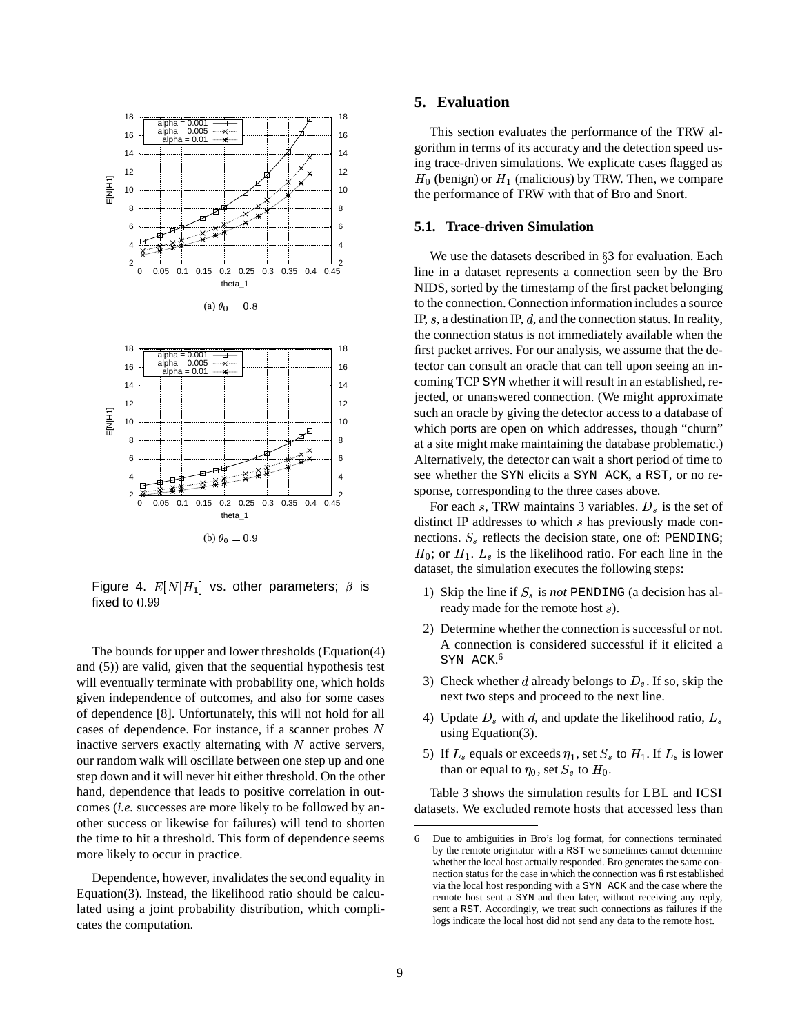

Figure 4.  $E[N|H_1]$  vs. other parameters;  $\beta$  is fixed to  $0.99$ 

The bounds for upper and lower thresholds (Equation(4) and (5)) are valid, given that the sequential hypothesis test will eventually terminate with probability one, which holds given independence of outcomes, and also for some cases of dependence [8]. Unfortunately, this will not hold for all cases of dependence. For instance, if a scanner probes  $N$ inactive servers exactly alternating with  $N$  active servers, our random walk will oscillate between one step up and one step down and it will never hit either threshold. On the other hand, dependence that leads to positive correlation in outcomes (*i.e.* successes are more likely to be followed by another success or likewise for failures) will tend to shorten the time to hit a threshold. This form of dependence seems more likely to occur in practice.

Dependence, however, invalidates the second equality in Equation(3). Instead, the likelihood ratio should be calculated using a joint probability distribution, which complicates the computation.

#### **5. Evaluation**

This section evaluates the performance of the TRW algorithm in terms of its accuracy and the detection speed using trace-driven simulations. We explicate cases flagged as  $H_0$  (benign) or  $H_1$  (malicious) by TRW. Then, we compare the performance of TRW with that of Bro and Snort.

#### **5.1. Trace-driven Simulation**

We use the datasets described in  $\S 3$  for evaluation. Each line in a dataset represents a connection seen by the Bro NIDS, sorted by the timestamp of the first packet belonging to the connection.Connection information includes a source IP,  $s$ , a destination IP,  $d$ , and the connection status. In reality, the connection status is not immediately available when the first packet arrives. For our analysis, we assume that the detector can consult an oracle that can tell upon seeing an incoming TCP SYN whether it will result in an established, rejected, or unanswered connection. (We might approximate such an oracle by giving the detector access to a database of which ports are open on which addresses, though "churn" at a site might make maintaining the database problematic.) Alternatively, the detector can wait a short period of time to see whether the SYN elicits a SYN ACK, a RST, or no response, corresponding to the three cases above.

For each s, TRW maintains 3 variables.  $D<sub>s</sub>$  is the set of distinct IP addresses to which  $s$  has previously made connections.  $S_s$  reflects the decision state, one of: PENDING;  $H_0$ ; or  $H_1$ .  $L_s$  is the likelihood ratio. For each line in the dataset, the simulation executes the following steps:

- 1) Skip the line if  $S<sub>s</sub>$  is *not* PENDING (a decision has already made for the remote host  $s$ ).
- 2) Determine whether the connection is successful or not. A connection is considered successful if it elicited a SYN ACK. 6
- 3) Check whether  $d$  already belongs to  $D_s$ . If so, skip the next two steps and proceed to the next line.
- 4) Update  $D_s$  with d, and update the likelihood ratio,  $L_s$ using Equation(3).
- 5) If  $L_s$  equals or exceeds  $\eta_1$ , set  $S_s$  to  $H_1$ . If  $L_s$  is lower than or equal to  $\eta_0,$  set  $S_s$  to  $H_0.$

Table 3 shows the simulation results for LBL and ICSI datasets. We excluded remote hosts that accessed less than

<sup>6</sup> Due to ambiguities in Bro's log format, for connections terminated by the remote originator with a RST we sometimes cannot determine whether the local host actually responded. Bro generates the same connection status for the case in which the connection was first established via the local host responding with a SYN ACK and the case where the remote host sent a SYN and then later, without receiving any reply, sent a RST. Accordingly, we treat such connections as failures if the logs indicate the local host did not send any data to the remote host.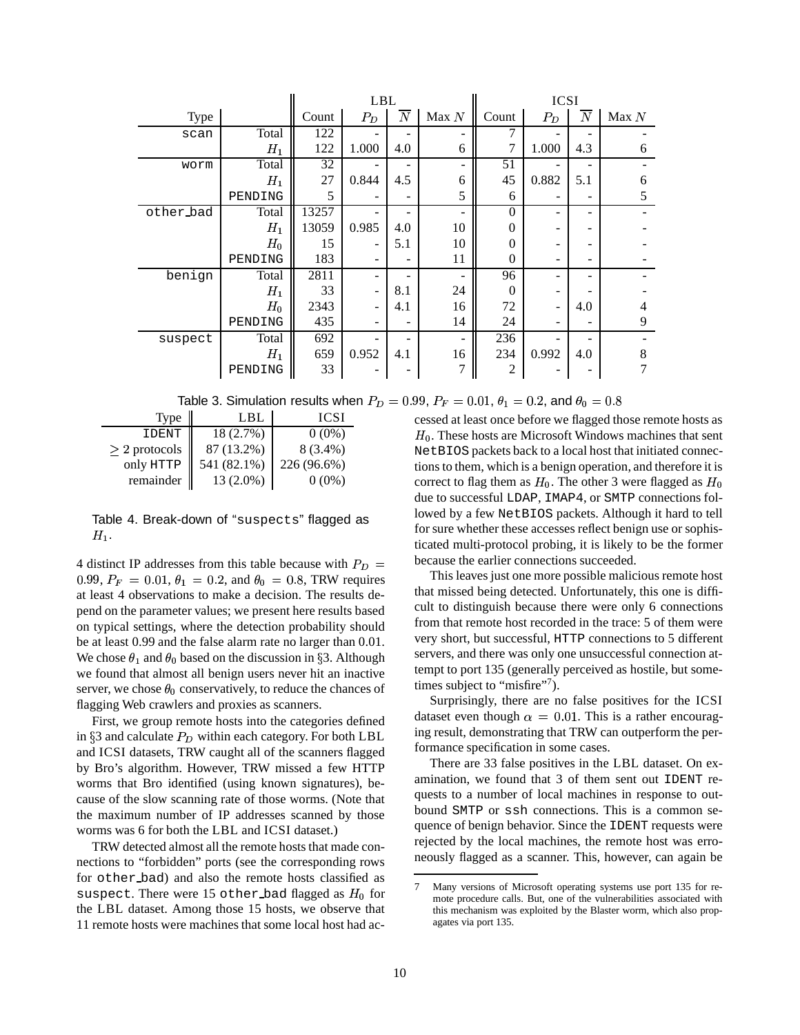|           |         | <b>LBL</b> |                          | <b>ICSI</b>    |       |                |                          |                |       |
|-----------|---------|------------|--------------------------|----------------|-------|----------------|--------------------------|----------------|-------|
| Type      |         | Count      | $P_D$                    | $\overline{N}$ | Max N | Count          | $P_D$                    | $\overline{N}$ | Max N |
| scan      | Total   | 122        |                          |                | -     |                |                          |                |       |
|           | $H_1$   | 122        | 1.000                    | 4.0            | 6     | 7              | 1.000                    | 4.3            | 6     |
| worm      | Total   | 32         |                          |                | ۰     | 51             |                          |                |       |
|           | $H_1$   | 27         | 0.844                    | 4.5            | 6     | 45             | 0.882                    | 5.1            | 6     |
|           | PENDING | 5          |                          |                | 5     | 6              |                          |                | 5     |
| other bad | Total   | 13257      |                          |                | ۰     | $\theta$       |                          |                |       |
|           | $H_1$   | 13059      | 0.985                    | 4.0            | 10    | $\overline{0}$ |                          |                |       |
|           | $H_0$   | 15         | ۰                        | 5.1            | 10    | 0              | ۰                        |                |       |
|           | PENDING | 183        |                          |                | 11    | $\Omega$       | ۰.                       |                |       |
| benign    | Total   | 2811       |                          |                |       | 96             |                          |                |       |
|           | $H_1$   | 33         | $\overline{\phantom{a}}$ | 8.1            | 24    | $\theta$       |                          |                |       |
|           | $H_0$   | 2343       | $\qquad \qquad -$        | 4.1            | 16    | 72             | $\overline{\phantom{a}}$ | 4.0            | 4     |
|           | PENDING | 435        |                          |                | 14    | 24             |                          |                | 9     |
| suspect   | Total   | 692        |                          |                | ٠     | 236            |                          |                |       |
|           | $H_1$   | 659        | 0.952                    | 4.1            | 16    | 234            | 0.992                    | 4.0            | 8     |
|           | PENDING | 33         |                          |                | 7     | 2              |                          |                |       |

Table 3. Simulation results when  $P_D=0.99,$   $P_F=0.01,$   $\theta_1=0.2,$  and  $\theta_0=0.8$ 

| Type               | LBI.        | TCSI        |
|--------------------|-------------|-------------|
| <b>IDENT</b>       | 18 (2.7%)   | $0(0\%)$    |
| $\geq 2$ protocols | 87 (13.2%)  | $8(3.4\%)$  |
| only HTTP          | 541 (82.1%) | 226 (96.6%) |
| remainder          | 13 (2.0%)   | $0(0\%)$    |

Table 4. Break-down of "suspects" flagged as  $H_1$ .

4 distinct IP addresses from this table because with  $P_D =$ 0.99,  $P_F = 0.01, \theta_1 = 0.2$ , and  $\theta_0 = 0.8$ , TRW requires at least 4 observations to make a decision. The results depend on the parameter values; we present here results based on typical settings, where the detection probability should be at least 0.99 and the false alarm rate no larger than 0.01. We chose  $\theta_1$  and  $\theta_0$  based on the discussion in §3. Although we found that almost all benign users never hit an inactive server, we chose  $\theta_0$  conservatively, to reduce the chances of flagging Web crawlers and proxies as scanners.

First, we group remote hosts into the categories defined in  $\S$ 3 and calculate  $P_D$  within each category. For both LBL and ICSI datasets, TRW caught all of the scanners flagged by Bro's algorithm. However, TRW missed a few HTTP worms that Bro identified (using known signatures), because of the slow scanning rate of those worms. (Note that the maximum number of IP addresses scanned by those worms was 6 for both the LBL and ICSI dataset.)

TRW detected almost all the remote hosts that made connections to "forbidden" ports (see the corresponding rows for other bad) and also the remote hosts classified as suspect. There were 15 other bad flagged as  $H_0$  for the LBL dataset. Among those 15 hosts, we observe that 11 remote hosts were machines that some local host had ac-

 / cessed at least once before we flagged those remote hosts as  $H_0$ . These hosts are Microsoft Windows machines that sent NetBIOS packets back to a local host that initiated connections to them, which is a benign operation, and therefore it is correct to flag them as  $H_0$ . The other 3 were flagged as  $H_0$ due to successful LDAP, IMAP4, or SMTP connections followed by a few NetBIOS packets. Although it hard to tell for sure whether these accesses reflect benign use or sophisticated multi-protocol probing, it is likely to be the former because the earlier connections succeeded.

This leaves just one more possible malicious remote host that missed being detected. Unfortunately, this one is difficult to distinguish because there were only 6 connections from that remote host recorded in the trace: 5 of them were very short, but successful, HTTP connections to 5 different servers, and there was only one unsuccessful connection attempt to port 135 (generally perceived as hostile, but sometimes subject to "misfire"?).

Surprisingly, there are no false positives for the ICSI dataset even though  $\alpha = 0.01$ . This is a rather encouraging result, demonstrating that TRW can outperform the performance specification in some cases.

There are 33 false positives in the LBL dataset. On examination, we found that 3 of them sent out IDENT requests to a number of local machines in response to outbound SMTP or ssh connections. This is a common sequence of benign behavior. Since the IDENT requests were rejected by the local machines, the remote host was erroneously flagged as a scanner. This, however, can again be

<sup>7</sup> Many versions of Microsoft operating systems use port 135 for remote procedure calls. But, one of the vulnerabilities associated with this mechanism was exploited by the Blaster worm, which also propagates via port 135.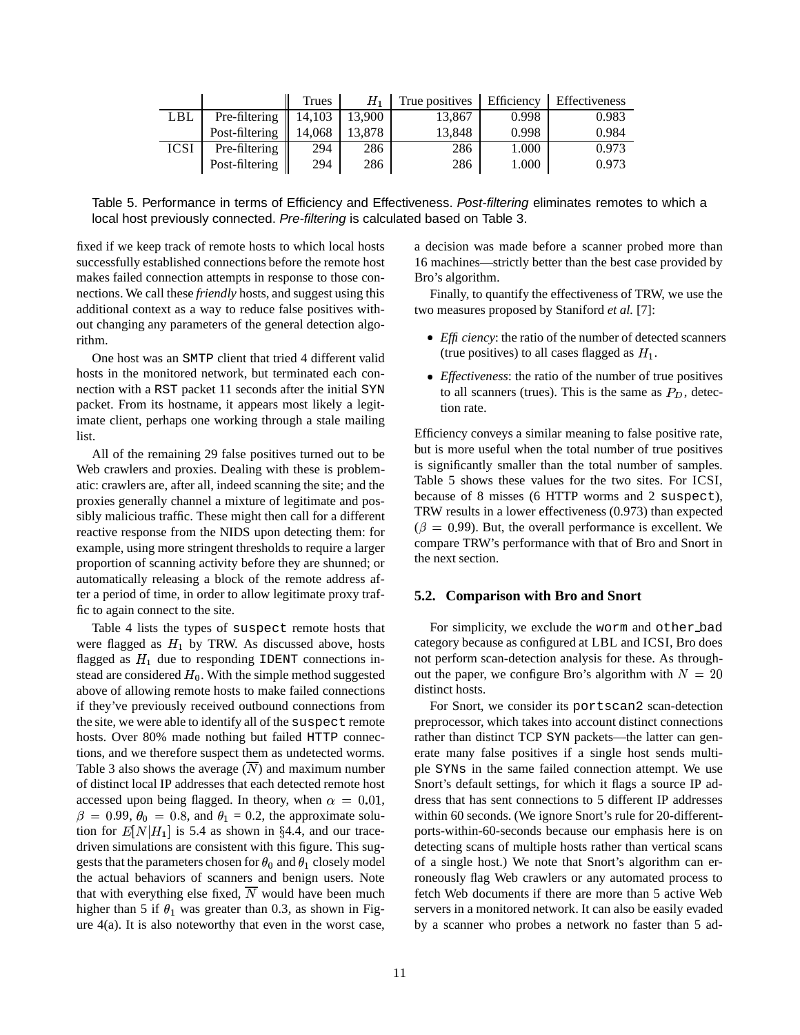|            |                | Trues  | Н1     | True positives | Efficiency | Effectiveness |
|------------|----------------|--------|--------|----------------|------------|---------------|
| <b>LBL</b> | Pre-filtering  | 14,103 | 13.900 | 13,867         | 0.998      | 0.983         |
|            | Post-filtering | 14.068 | 13.878 | 13.848         | 0.998      | 0.984         |
| ICSI       | Pre-filtering  | 294    | 286    | 286            | 1.000      | 0.973         |
|            | Post-filtering | 294    | 286    | 286            | 1.000      | 0.973         |

Table 5. Performance in terms of Efficiency and Effectiveness. Post-filtering eliminates remotes to which a local host previously connected. Pre-filtering is calculated based on Table 3.

fixed if we keep track of remote hosts to which local hosts successfully established connections before the remote host makes failed connection attempts in response to those connections. We call these *friendly* hosts, and suggest using this additional context as a way to reduce false positives without changing any parameters of the general detection algorithm.

One host was an SMTP client that tried 4 different valid hosts in the monitored network, but terminated each connection with a RST packet 11 seconds after the initial SYN packet. From its hostname, it appears most likely a legitimate client, perhaps one working through a stale mailing list.

All of the remaining 29 false positives turned out to be Web crawlers and proxies. Dealing with these is problematic: crawlers are, after all, indeed scanning the site; and the proxies generally channel a mixture of legitimate and possibly malicious traffic. These might then call for a different reactive response from the NIDS upon detecting them: for example, using more stringent thresholds to require a larger proportion of scanning activity before they are shunned; or automatically releasing a block of the remote address after a period of time, in order to allow legitimate proxy traffic to again connect to the site.

Table 4 lists the types of suspect remote hosts that were flagged as  $H_1$  by TRW. As discussed above, hosts flagged as  $H_1$  due to responding IDENT connections instead are considered  $H_0$ . With the simple method suggested above of allowing remote hosts to make failed connections if they've previously received outbound connections from the site, we were able to identify all of the suspect remote hosts. Over 80% made nothing but failed HTTP connections, and we therefore suspect them as undetected worms. Table 3 also shows the average  $(\overline{N})$  and maximum number of distinct local IP addresses that each detected remote host accessed upon being flagged. In theory, when  $\alpha = 0.01$ , dre  $\beta = 0.99, \theta_0 = 0.8$ , and  $\theta_1 = 0.2$ , the approximate solution for  $E[N|H_1]$  is 5.4 as shown in §4.4, and our trace driven simulations are consistent with this figure. This suggests that the parameters chosen for  $\theta_0$  and  $\theta_1$  closely model the actual behaviors of scanners and benign users. Note that with everything else fixed,  $\overline{N}$  would have been much higher than 5 if  $\theta_1$  was greater than 0.3, as shown in Figure 4(a). It is also noteworthy that even in the worst case,

a decision was made before a scanner probed more than 16 machines—strictly better than the best case provided by Bro's algorithm.

Finally, to quantify the effectiveness of TRW, we use the two measures proposed by Staniford *et al.* [7]:

- *Efficiency*: the ratio of the number of detected scanners (true positives) to all cases flagged as  $H_1$ .
- *Effectiveness*: the ratio of the number of true positives to all scanners (trues). This is the same as  $P_D$ , detection rate.

Efficiency conveys a similar meaning to false positive rate, but is more useful when the total number of true positives is significantly smaller than the total number of samples. Table 5 shows these values for the two sites. For ICSI, because of 8 misses (6 HTTP worms and 2 suspect), TRW results in a lower effectiveness (0.973) than expected  $(\beta = 0.99)$ . But, the overall performance is excellent. We compare TRW's performance with that of Bro and Snort in the next section.

#### **5.2. Comparison with Bro and Snort**

For simplicity, we exclude the worm and other bad category because as configured at LBL and ICSI, Bro does not perform scan-detection analysis for these. As throughout the paper, we configure Bro's algorithm with  $N = 20$ distinct hosts.

For Snort, we consider its portscan2 scan-detection preprocessor, which takes into account distinct connections rather than distinct TCP SYN packets—the latter can generate many false positives if a single host sends multiple SYNs in the same failed connection attempt. We use Snort's default settings, for which it flags a source IP address that has sent connections to 5 different IP addresses within 60 seconds. (We ignore Snort's rule for 20-differentports-within-60-seconds because our emphasis here is on detecting scans of multiple hosts rather than vertical scans of a single host.) We note that Snort's algorithm can erroneously flag Web crawlers or any automated process to fetch Web documents if there are more than 5 active Web servers in a monitored network. It can also be easily evaded by a scanner who probes a network no faster than 5 ad-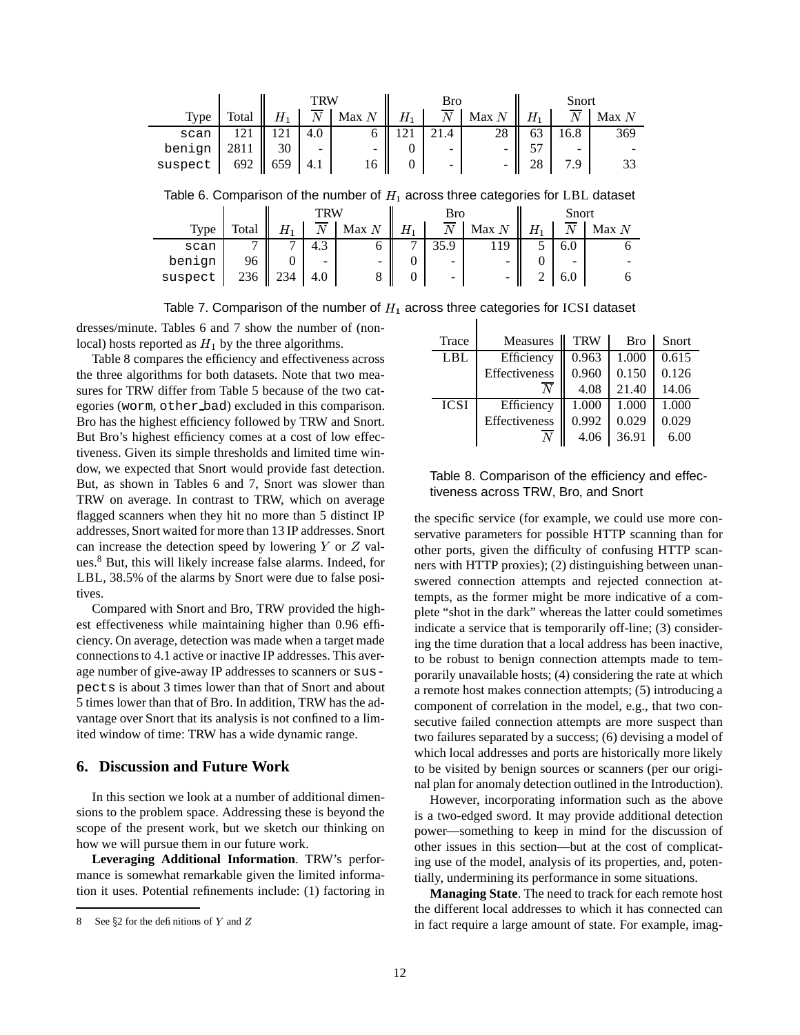|         |       |                       | TRW            |       |         | <b>Bro</b>               |       |       | Snort            |       |
|---------|-------|-----------------------|----------------|-------|---------|--------------------------|-------|-------|------------------|-------|
| Type    | Total | TТ<br>Л1              | $\overline{N}$ | Max N | $\,H_1$ | $\overline{N}$           | Max N | $H_1$ | $\boldsymbol{N}$ | Max N |
| scan    | 121   | $1^{\prime}$ 1<br>1/4 | 4.U            |       | 121     | 21.4                     | 28    | 63    | 16.8             | 369   |
| benign  | 2811  | 30                    | -              | -     |         | $\sim$                   | -     |       | -                | -     |
| suspect | 692   | 659                   | 4.1            | 16    |         | $\overline{\phantom{0}}$ | -     | 28    | 7.9              | ں ر   |

Table 6. Comparison of the number of  $H_1$  across three categories for LBL dataset

|         |              |                | TRW            |       |                | Bro            |                |           | Snort                    |       |  |
|---------|--------------|----------------|----------------|-------|----------------|----------------|----------------|-----------|--------------------------|-------|--|
| Type    | Total        | $H_{1}$        | $\overline{N}$ | Max N | $H_1$          | $\overline{N}$ | Max N          | $H_{\tt}$ | $\overline{N}$           | Max N |  |
| scan    | $\mathbf{r}$ | $\overline{ }$ | 4.3            |       | $\overline{ }$ | 35.9           | 1 <sub>Q</sub> |           | 6.0                      |       |  |
| benign  | 96           |                | -              | -     |                | -              |                |           | $\overline{\phantom{a}}$ |       |  |
| suspect | 236          | 234            | 4.0            |       |                | -              | -              | $\sim$    | 6.0                      |       |  |

Table 7. Comparison of the number of  $H_1$  across three categories for ICSI dataset

dresses/minute. Tables 6 and 7 show the number of (nonlocal) hosts reported as  $H_1$  by the three algorithms.

 Table 8 compares the efficiency and effectiveness across the three algorithms for both datasets. Note that two measures for TRW differ from Table 5 because of the two categories (worm, other bad) excluded in this comparison. Bro has the highest efficiency followed by TRW and Snort. But Bro's highest efficiency comes at a cost of low effectiveness. Given its simple thresholds and limited time window, we expected that Snort would provide fast detection. But, as shown in Tables 6 and 7, Snort was slower than TRW on average. In contrast to TRW, which on average flagged scanners when they hit no more than 5 distinct IP addresses, Snort waited for more than 13 IP addresses. Snort can increase the detection speed by lowering  $Y$  or  $Z$  values.<sup>8</sup> But, this will likely increase false alarms. Indeed, for LBL, 38.5% of the alarms by Snort were due to false positives.

Compared with Snort and Bro, TRW provided the highest effectiveness while maintaining higher than 0.96 efficiency. On average, detection was made when a target made connectionsto 4.1 active or inactive IP addresses. This average number of give-away IP addresses to scanners or suspects is about 3 times lower than that of Snort and about 5 times lower than that of Bro. In addition, TRW has the advantage over Snort that its analysis is not confined to a limited window of time: TRW has a wide dynamic range.

#### **6. Discussion and Future Work**

In this section we look at a number of additional dimensions to the problem space. Addressing these is beyond the scope of the present work, but we sketch our thinking on how we will pursue them in our future work.

**Leveraging Additional Information**. TRW's performance is somewhat remarkable given the limited information it uses. Potential refinements include: (1) factoring in

| Trace       | Measures      | <b>TRW</b> | <b>Bro</b> | Snort |
|-------------|---------------|------------|------------|-------|
| LBL         | Efficiency    | 0.963      | 1.000      | 0.615 |
|             | Effectiveness | 0.960      | 0.150      | 0.126 |
|             |               | 4.08       | 21.40      | 14.06 |
| <b>ICSI</b> | Efficiency    | 1.000      | 1.000      | 1.000 |
|             | Effectiveness | 0.992      | 0.029      | 0.029 |
|             | N             | 4.06       | 36.91      | 6.00  |

#### Table 8. Comparison of the efficiency and effectiveness across TRW, Bro, and Snort

the specific service (for example, we could use more conservative parameters for possible HTTP scanning than for other ports, given the difficulty of confusing HTTP scanners with HTTP proxies); (2) distinguishing between unanswered connection attempts and rejected connection attempts, as the former might be more indicative of a complete "shot in the dark" whereas the latter could sometimes indicate a service that is temporarily off-line; (3) considering the time duration that a local address has been inactive, to be robust to benign connection attempts made to temporarily unavailable hosts; (4) considering the rate at which a remote host makes connection attempts; (5) introducing a component of correlation in the model, e.g., that two consecutive failed connection attempts are more suspect than two failures separated by a success; (6) devising a model of which local addresses and ports are historically more likely to be visited by benign sources or scanners (per our original plan for anomaly detection outlined in the Introduction).

However, incorporating information such as the above is a two-edged sword. It may provide additional detection power—something to keep in mind for the discussion of other issues in this section—but at the cost of complicating use of the model, analysis of its properties, and, potentially, undermining its performance in some situations.

**Managing State**. The need to track for each remote host the different local addresses to which it has connected can in fact require a large amount of state. For example, imag-

<sup>8</sup> See  $\S 2$  for the definitions of Y and Z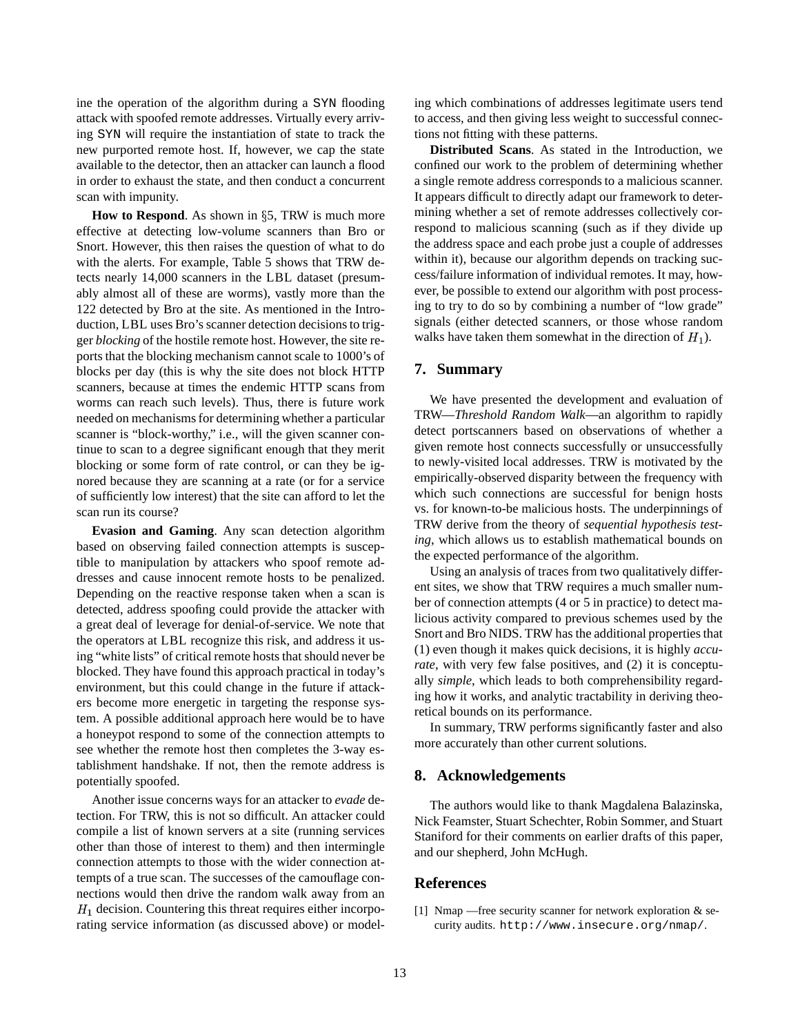ine the operation of the algorithm during a SYN flooding attack with spoofed remote addresses. Virtually every arriving SYN will require the instantiation of state to track the new purported remote host. If, however, we cap the state available to the detector, then an attacker can launch a flood in order to exhaust the state, and then conduct a concurrent scan with impunity.

**How to Respond**. As shown in  $\S$ 5, TRW is much more effective at detecting low-volume scanners than Bro or Snort. However, this then raises the question of what to do with the alerts. For example, Table 5 shows that TRW detects nearly 14,000 scanners in the LBL dataset (presumably almost all of these are worms), vastly more than the 122 detected by Bro at the site. As mentioned in the Introduction, LBL uses Bro's scanner detection decisions to trigger *blocking* of the hostile remote host. However, the site reports that the blocking mechanism cannot scale to 1000's of blocks per day (this is why the site does not block HTTP scanners, because at times the endemic HTTP scans from worms can reach such levels). Thus, there is future work needed on mechanisms for determining whether a particular scanner is "block-worthy," i.e., will the given scanner continue to scan to a degree significant enough that they merit blocking or some form of rate control, or can they be ignored because they are scanning at a rate (or for a service of sufficiently low interest) that the site can afford to let the scan run its course?

**Evasion and Gaming**. Any scan detection algorithm based on observing failed connection attempts is susceptible to manipulation by attackers who spoof remote addresses and cause innocent remote hosts to be penalized. Depending on the reactive response taken when a scan is detected, address spoofing could provide the attacker with a great deal of leverage for denial-of-service. We note that the operators at LBL recognize this risk, and address it using "white lists" of critical remote hosts that should never be blocked. They have found this approach practical in today's environment, but this could change in the future if attackers become more energetic in targeting the response system. A possible additional approach here would be to have a honeypot respond to some of the connection attempts to see whether the remote host then completes the 3-way establishment handshake. If not, then the remote address is potentially spoofed.

Another issue concerns ways for an attacker to *evade* detection. For TRW, this is not so difficult. An attacker could compile a list of known servers at a site (running services other than those of interest to them) and then intermingle connection attempts to those with the wider connection attempts of a true scan. The successes of the camouflage connections would then drive the random walk away from an  $H_1$  decision. Countering this threat requires either incorporating service information (as discussed above) or modeling which combinations of addresses legitimate users tend to access, and then giving less weight to successful connections not fitting with these patterns.

**Distributed Scans**. As stated in the Introduction, we confined our work to the problem of determining whether a single remote address corresponds to a malicious scanner. It appears difficult to directly adapt our framework to determining whether a set of remote addresses collectively correspond to malicious scanning (such as if they divide up the address space and each probe just a couple of addresses within it), because our algorithm depends on tracking success/failure information of individual remotes. It may, however, be possible to extend our algorithm with post processing to try to do so by combining a number of "low grade" signals (either detected scanners, or those whose random walks have taken them somewhat in the direction of  $H_1$ ).

#### **7. Summary**

We have presented the development and evaluation of TRW—*Threshold Random Walk*—an algorithm to rapidly detect portscanners based on observations of whether a given remote host connects successfully or unsuccessfully to newly-visited local addresses. TRW is motivated by the empirically-observed disparity between the frequency with which such connections are successful for benign hosts vs. for known-to-be malicious hosts. The underpinnings of TRW derive from the theory of *sequential hypothesis testing*, which allows us to establish mathematical bounds on the expected performance of the algorithm.

Using an analysis of traces from two qualitatively different sites, we show that TRW requires a much smaller number of connection attempts (4 or 5 in practice) to detect malicious activity compared to previous schemes used by the Snort and Bro NIDS. TRW has the additional properties that (1) even though it makes quick decisions, it is highly *accurate*, with very few false positives, and (2) it is conceptually *simple*, which leads to both comprehensibility regarding how it works, and analytic tractability in deriving theoretical bounds on its performance.

In summary, TRW performs significantly faster and also more accurately than other current solutions.

#### **8. Acknowledgements**

The authors would like to thank Magdalena Balazinska, Nick Feamster, Stuart Schechter, Robin Sommer, and Stuart Staniford for their comments on earlier drafts of this paper, and our shepherd, John McHugh.

#### **References**

[1] Nmap — free security scanner for network exploration  $&$  security audits. http://www.insecure.org/nmap/.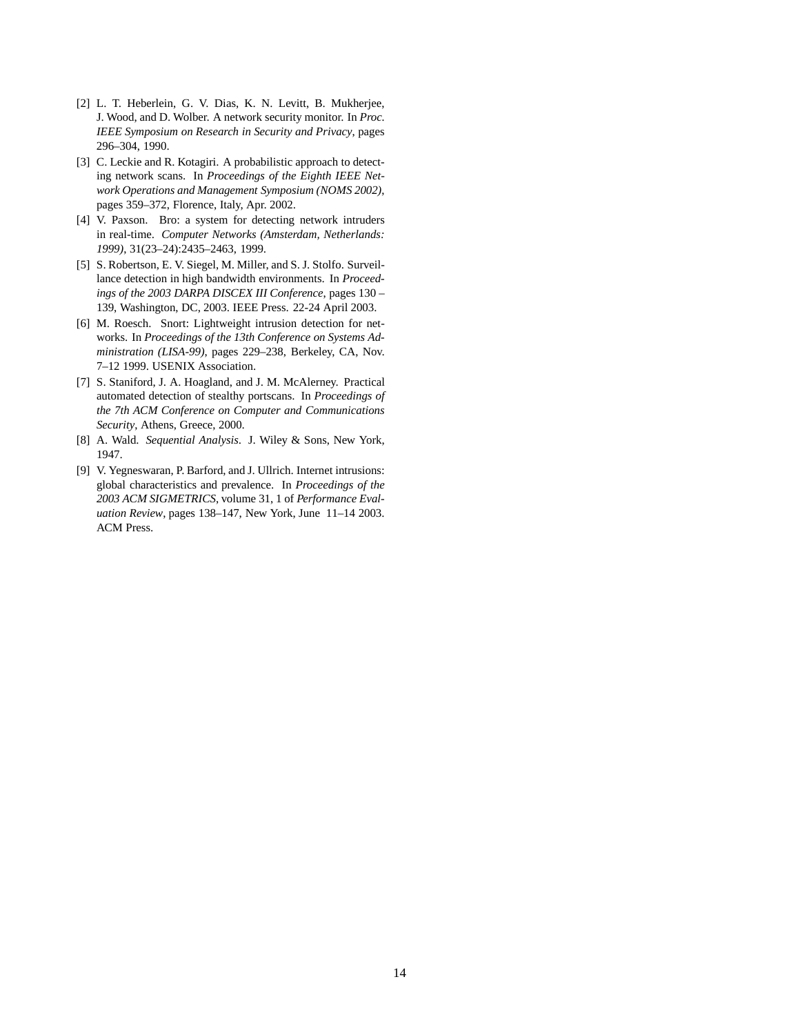- [2] L. T. Heberlein, G. V. Dias, K. N. Levitt, B. Mukherjee, J. Wood, and D. Wolber. A network security monitor. In *Proc. IEEE Symposium on Research in Security and Privacy*, pages 296–304, 1990.
- [3] C. Leckie and R. Kotagiri. A probabilistic approach to detecting network scans. In *Proceedings of the Eighth IEEE Network Operations and Management Symposium (NOMS 2002)*, pages 359–372, Florence, Italy, Apr. 2002.
- [4] V. Paxson. Bro: a system for detecting network intruders in real-time. *Computer Networks (Amsterdam, Netherlands: 1999)*, 31(23–24):2435–2463, 1999.
- [5] S. Robertson, E. V. Siegel, M. Miller, and S. J. Stolfo. Surveillance detection in high bandwidth environments. In *Proceedings of the 2003 DARPA DISCEX III Conference*, pages 130 – 139, Washington, DC, 2003. IEEE Press. 22-24 April 2003.
- [6] M. Roesch. Snort: Lightweight intrusion detection for networks. In *Proceedings of the 13th Conference on Systems Administration (LISA-99)*, pages 229–238, Berkeley, CA, Nov. 7–12 1999. USENIX Association.
- [7] S. Staniford, J. A. Hoagland, and J. M. McAlerney. Practical automated detection of stealthy portscans. In *Proceedings of the 7th ACM Conference on Computer and Communications Security*, Athens, Greece, 2000.
- [8] A. Wald. *Sequential Analysis*. J. Wiley & Sons, New York, 1947.
- [9] V. Yegneswaran, P. Barford, and J. Ullrich. Internet intrusions: global characteristics and prevalence. In *Proceedings of the 2003 ACM SIGMETRICS*, volume 31, 1 of *Performance Evaluation Review*, pages 138–147, New York, June 11–14 2003. ACM Press.